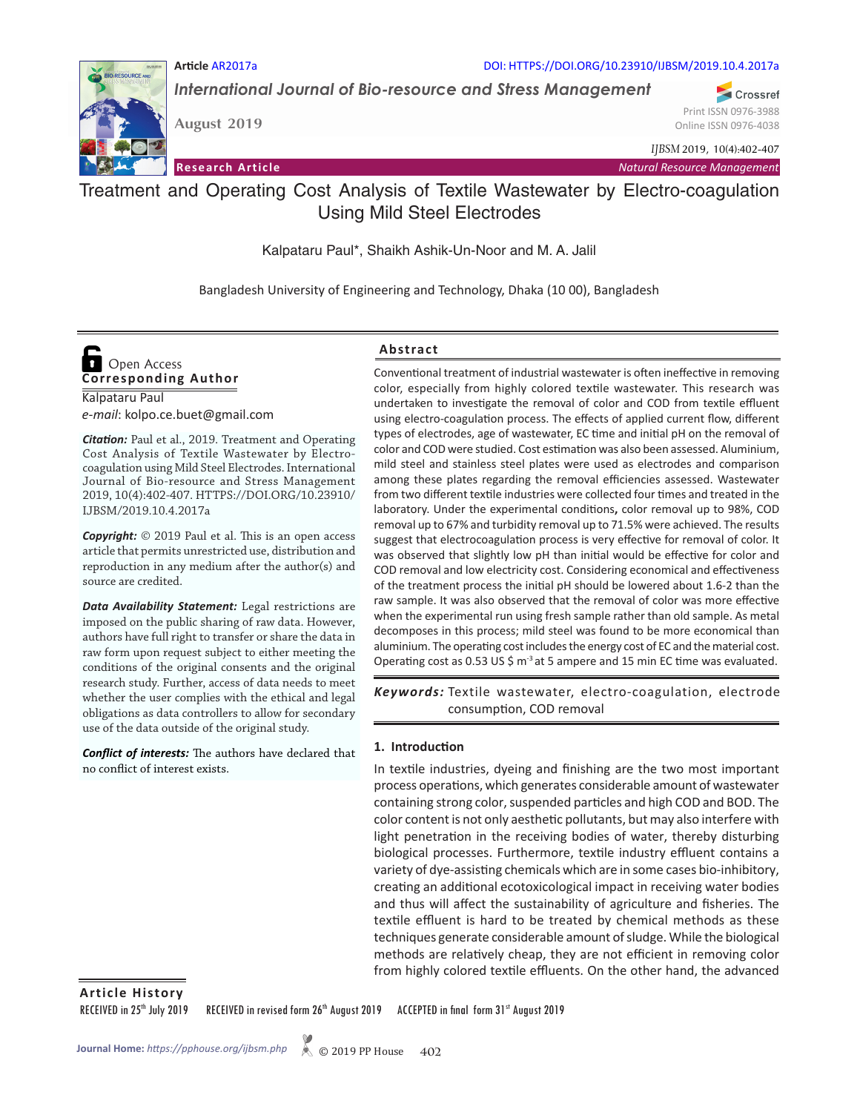

**Article** AR2017a DOI: HTTPS://DOI.ORG/10.23910/IJBSM/2019.10.4.2017a

*International Journal of Bio-resource and Stress Management*

Crossref Print ISSN 0976-3988 Online ISSN 0976-4038

*IJBSM* 2019, 10(4):402-407

**Research Article**

**August 2019**

*Natural Resource Management*

Treatment and Operating Cost Analysis of Textile Wastewater by Electro-coagulation Using Mild Steel Electrodes

Kalpataru Paul\*, Shaikh Ashik-Un-Noor and M. A. Jalil

Bangladesh University of Engineering and Technology, Dhaka (10 00), Bangladesh

# **Corresponding Author**  Open Access

Kalpataru Paul *e-mail*: kolpo.ce.buet@gmail.com

*Citation:* Paul et al., 2019. Treatment and Operating Cost Analysis of Textile Wastewater by Electrocoagulation using Mild Steel Electrodes. International Journal of Bio-resource and Stress Management 2019, 10(4):402-407. HTTPS://DOI.ORG/10.23910/ IJBSM/2019.10.4.2017a

*Copyright:* © 2019 Paul et al. This is an open access article that permits unrestricted use, distribution and reproduction in any medium after the author(s) and source are credited.

*Data Availability Statement:* Legal restrictions are imposed on the public sharing of raw data. However, authors have full right to transfer or share the data in raw form upon request subject to either meeting the conditions of the original consents and the original research study. Further, access of data needs to meet whether the user complies with the ethical and legal obligations as data controllers to allow for secondary use of the data outside of the original study.

*Conflict of interests:* The authors have declared that no conflict of interest exists.

## **Abstract**

Conventional treatment of industrial wastewater is often ineffective in removing color, especially from highly colored textile wastewater. This research was undertaken to investigate the removal of color and COD from textile effluent using electro-coagulation process. The effects of applied current flow, different types of electrodes, age of wastewater, EC time and initial pH on the removal of color and COD were studied. Cost estimation was also been assessed. Aluminium, mild steel and stainless steel plates were used as electrodes and comparison among these plates regarding the removal efficiencies assessed. Wastewater from two different textile industries were collected four times and treated in the laboratory. Under the experimental conditions**,** color removal up to 98%, COD removal up to 67% and turbidity removal up to 71.5% were achieved. The results suggest that electrocoagulation process is very effective for removal of color. It was observed that slightly low pH than initial would be effective for color and COD removal and low electricity cost. Considering economical and effectiveness of the treatment process the initial pH should be lowered about 1.6-2 than the raw sample. It was also observed that the removal of color was more effective when the experimental run using fresh sample rather than old sample. As metal decomposes in this process; mild steel was found to be more economical than aluminium. The operating cost includes the energy cost of EC and the material cost. Operating cost as 0.53 US \$  $m<sup>3</sup>$  at 5 ampere and 15 min EC time was evaluated.

Keywords: Textile wastewater, electro-coagulation, electrode consumption, COD removal

### **1. Introduction**

In textile industries, dyeing and finishing are the two most important process operations, which generates considerable amount of wastewater containing strong color, suspended particles and high COD and BOD. The color content is not only aesthetic pollutants, but may also interfere with light penetration in the receiving bodies of water, thereby disturbing biological processes. Furthermore, textile industry effluent contains a variety of dye-assisting chemicals which are in some cases bio-inhibitory, creating an additional ecotoxicological impact in receiving water bodies and thus will affect the sustainability of agriculture and fisheries. The textile effluent is hard to be treated by chemical methods as these techniques generate considerable amount of sludge. While the biological methods are relatively cheap, they are not efficient in removing color from highly colored textile effluents. On the other hand, the advanced

**Article History**

RECEIVED in 25<sup>th</sup> July 2019 RECEIVED in revised form 26<sup>th</sup> August 2019 ACCEPTED in final form 31<sup>st</sup> August 2019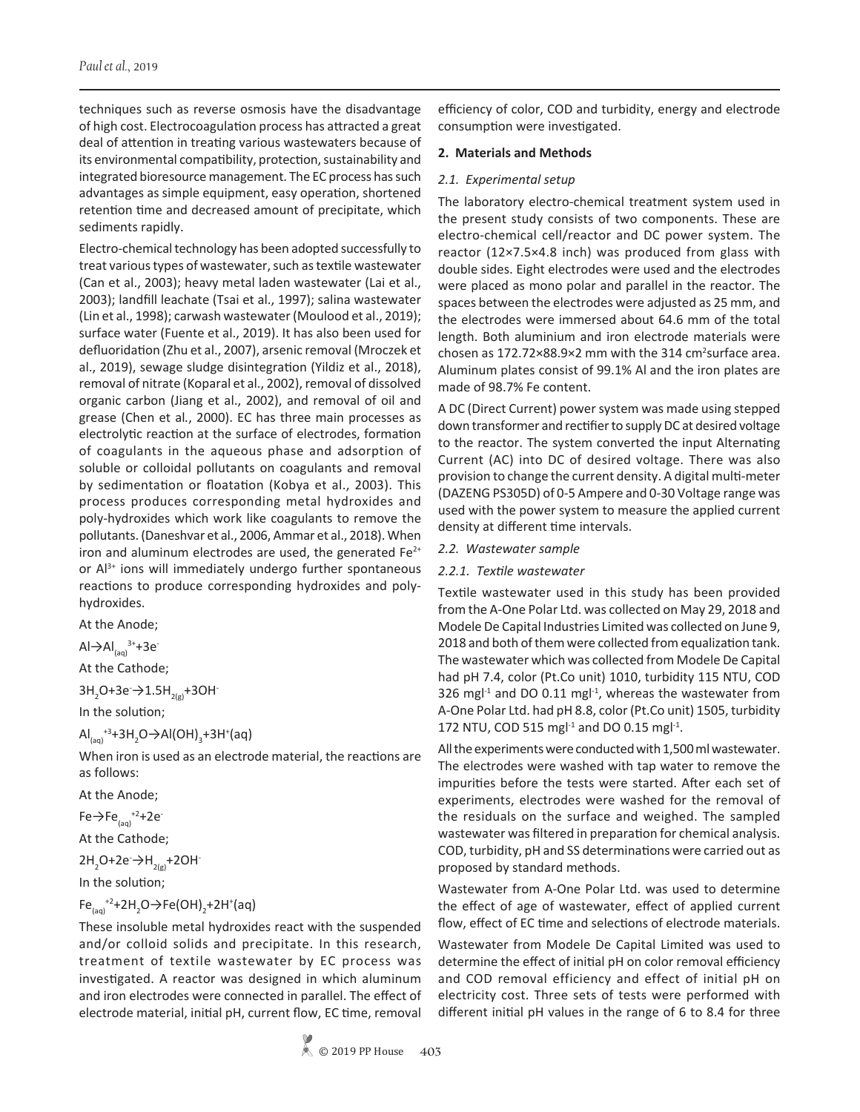techniques such as reverse osmosis have the disadvantage of high cost. Electrocoagulation process has attracted a great deal of attention in treating various wastewaters because of its environmental compatibility, protection, sustainability and integrated bioresource management. The EC process has such advantages as simple equipment, easy operation, shortened retention time and decreased amount of precipitate, which sediments rapidly.

Electro-chemical technology has been adopted successfully to treat various types of wastewater, such as textile wastewater (Can et al., 2003); heavy metal laden wastewater (Lai et al., 2003); landfill leachate (Tsai et al., 1997); salina wastewater (Lin et al., 1998); carwash wastewater (Moulood et al., 2019); surface water (Fuente et al., 2019). It has also been used for defluoridation (Zhu et al., 2007), arsenic removal (Mroczek et al., 2019), sewage sludge disintegration (Yildiz et al., 2018), removal of nitrate (Koparal et al., 2002), removal of dissolved organic carbon (Jiang et al., 2002), and removal of oil and grease (Chen et al*.*, 2000). EC has three main processes as electrolytic reaction at the surface of electrodes, formation of coagulants in the aqueous phase and adsorption of soluble or colloidal pollutants on coagulants and removal by sedimentation or floatation (Kobya et al., 2003). This process produces corresponding metal hydroxides and poly-hydroxides which work like coagulants to remove the pollutants. (Daneshvar et al., 2006, Ammar et al., 2018). When iron and aluminum electrodes are used, the generated  $Fe<sup>2+</sup>$ or Al<sup>3+</sup> ions will immediately undergo further spontaneous reactions to produce corresponding hydroxides and polyhydroxides.

At the Anode;

Al $\rightarrow$ Al<sub>(aq)</sub><sup>3+</sup>+3e<sup>-</sup>

At the Cathode;

3H<sub>2</sub>O+3e →1.5H<sub>2(g)</sub>+3OH<sup>-</sup>

In the solution;

 $\text{Al}_{(aq)}^{+3}$ +3H<sub>2</sub>O $\rightarrow$ Al(OH)<sub>3</sub>+3H<sup>+</sup>(aq)

When iron is used as an electrode material, the reactions are as follows:

At the Anode;

Fe $\rightarrow$ Fe<sub>(aq)</sub><sup>+2</sup>+2e<sup>-</sup>

At the Cathode;

 $2H_2O+2e^ \rightarrow$   $H_{2(g)}+2OH^-$ 

In the solution;

$$
Fe_{(aq)}^{+2}+2H_2O\rightarrow Fe(OH)_2+2H^+(aq)
$$

These insoluble metal hydroxides react with the suspended and/or colloid solids and precipitate. In this research, treatment of textile wastewater by EC process was investigated. A reactor was designed in which aluminum and iron electrodes were connected in parallel. The effect of electrode material, initial pH, current flow, EC time, removal efficiency of color, COD and turbidity, energy and electrode consumption were investigated.

### **2. Materials and Methods**

### *2.1. Experimental setup*

The laboratory electro-chemical treatment system used in the present study consists of two components. These are electro-chemical cell/reactor and DC power system. The reactor (12×7.5×4.8 inch) was produced from glass with double sides. Eight electrodes were used and the electrodes were placed as mono polar and parallel in the reactor. The spaces between the electrodes were adjusted as 25 mm, and the electrodes were immersed about 64.6 mm of the total length. Both aluminium and iron electrode materials were chosen as 172.72×88.9×2 mm with the 314 cm<sup>2</sup>surface area. Aluminum plates consist of 99.1% Al and the iron plates are made of 98.7% Fe content.

A DC (Direct Current) power system was made using stepped down transformer and rectifier to supply DC at desired voltage to the reactor. The system converted the input Alternating Current (AC) into DC of desired voltage. There was also provision to change the current density. A digital multi-meter (DAZENG PS305D) of 0-5 Ampere and 0-30 Voltage range was used with the power system to measure the applied current density at different time intervals.

### *2.2. Wastewater sample*

### *2.2.1. Textile wastewater*

Textile wastewater used in this study has been provided from the A-One Polar Ltd. was collected on May 29, 2018 and Modele De Capital Industries Limited was collected on June 9, 2018 and both of them were collected from equalization tank. The wastewater which was collected from Modele De Capital had pH 7.4, color (Pt.Co unit) 1010, turbidity 115 NTU, COD 326 mg $l^{-1}$  and DO 0.11 mg $l^{-1}$ , whereas the wastewater from A-One Polar Ltd. had pH 8.8, color (Pt.Co unit) 1505, turbidity 172 NTU, COD 515 mg $11$  and DO 0.15 mg $11$ .

All the experiments were conducted with 1,500 ml wastewater. The electrodes were washed with tap water to remove the impurities before the tests were started. After each set of experiments, electrodes were washed for the removal of the residuals on the surface and weighed. The sampled wastewater was filtered in preparation for chemical analysis. COD, turbidity, pH and SS determinations were carried out as proposed by standard methods.

Wastewater from A-One Polar Ltd. was used to determine the effect of age of wastewater, effect of applied current flow, effect of EC time and selections of electrode materials.

Wastewater from Modele De Capital Limited was used to determine the effect of initial pH on color removal efficiency and COD removal efficiency and effect of initial pH on electricity cost. Three sets of tests were performed with different initial pH values in the range of 6 to 8.4 for three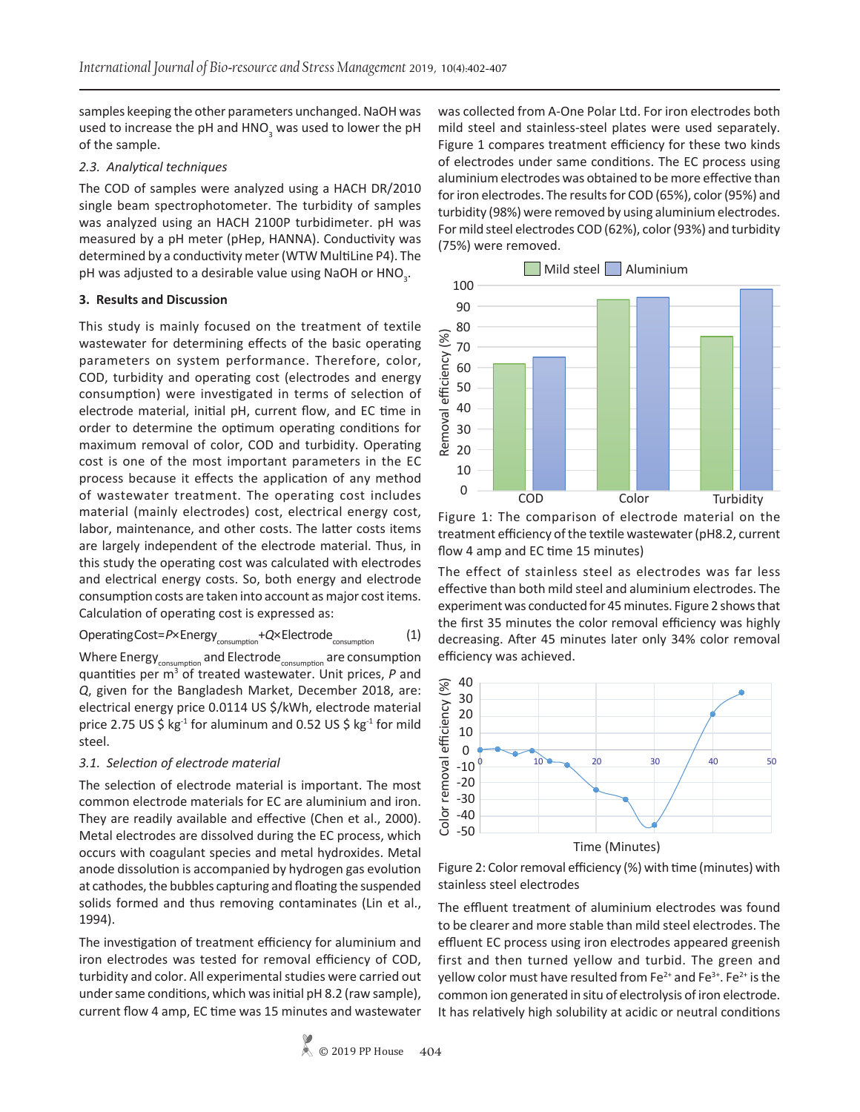samples keeping the other parameters unchanged. NaOH was used to increase the pH and HNO<sub>3</sub> was used to lower the pH of the sample.

# *2.3. Analytical techniques*

The COD of samples were analyzed using a HACH DR/2010 single beam spectrophotometer. The turbidity of samples was analyzed using an HACH 2100P turbidimeter. pH was measured by a pH meter (pHep, HANNA). Conductivity was determined by a conductivity meter (WTW MultiLine P4). The pH was adjusted to a desirable value using NaOH or HNO<sub>3</sub>.

### **3. Results and Discussion**

This study is mainly focused on the treatment of textile wastewater for determining effects of the basic operating parameters on system performance. Therefore, color, COD, turbidity and operating cost (electrodes and energy consumption) were investigated in terms of selection of electrode material, initial pH, current flow, and EC time in order to determine the optimum operating conditions for maximum removal of color, COD and turbidity. Operating cost is one of the most important parameters in the EC process because it effects the application of any method of wastewater treatment. The operating cost includes material (mainly electrodes) cost, electrical energy cost, labor, maintenance, and other costs. The latter costs items are largely independent of the electrode material. Thus, in this study the operating cost was calculated with electrodes and electrical energy costs. So, both energy and electrode consumption costs are taken into account as major cost items. Calculation of operating cost is expressed as:

Operating Cost=P×Energy<sub>consumption</sub> + Q×Electrode<sub>consumption</sub> (1) Where  $\text{Energy}_{\text{consumption}}$  and  $\text{Electrode}_{\text{consumption}}$  are consumption quantities per m3 of treated wastewater. Unit prices, *P* and *Q*, given for the Bangladesh Market, December 2018, are:

electrical energy price 0.0114 US \$/kWh, electrode material price 2.75 US \$  $kg<sup>-1</sup>$  for aluminum and 0.52 US \$  $kg<sup>-1</sup>$  for mild

# *3.1. Selection of electrode material*

steel.

The selection of electrode material is important. The most common electrode materials for EC are aluminium and iron. They are readily available and effective (Chen et al., 2000). Metal electrodes are dissolved during the EC process, which occurs with coagulant species and metal hydroxides. Metal anode dissolution is accompanied by hydrogen gas evolution at cathodes, the bubbles capturing and floating the suspended solids formed and thus removing contaminates (Lin et al., 1994).

The investigation of treatment efficiency for aluminium and iron electrodes was tested for removal efficiency of COD, turbidity and color. All experimental studies were carried out under same conditions, which was initial pH 8.2 (raw sample), current flow 4 amp, EC time was 15 minutes and wastewater was collected from A-One Polar Ltd. For iron electrodes both mild steel and stainless-steel plates were used separately. Figure 1 compares treatment efficiency for these two kinds of electrodes under same conditions. The EC process using aluminium electrodes was obtained to be more effective than for iron electrodes. The results for COD (65%), color (95%) and turbidity (98%) were removed by using aluminium electrodes. For mild steel electrodes COD (62%), color (93%) and turbidity (75%) were removed.



Figure 1: The comparison of electrode material on the treatment efficiency of the textile wastewater (pH8.2, current flow 4 amp and EC time 15 minutes)

The effect of stainless steel as electrodes was far less effective than both mild steel and aluminium electrodes. The experiment was conducted for 45 minutes. Figure 2 shows that the first 35 minutes the color removal efficiency was highly decreasing. After 45 minutes later only 34% color removal efficiency was achieved.



Time (Minutes)

Figure 2: Color removal efficiency (%) with time (minutes) with stainless steel electrodes

The effluent treatment of aluminium electrodes was found to be clearer and more stable than mild steel electrodes. The effluent EC process using iron electrodes appeared greenish first and then turned yellow and turbid. The green and yellow color must have resulted from  $Fe^{2+}$  and  $Fe^{3+}$ . Fe<sup>2+</sup> is the common ion generated in situ of electrolysis of iron electrode. It has relatively high solubility at acidic or neutral conditions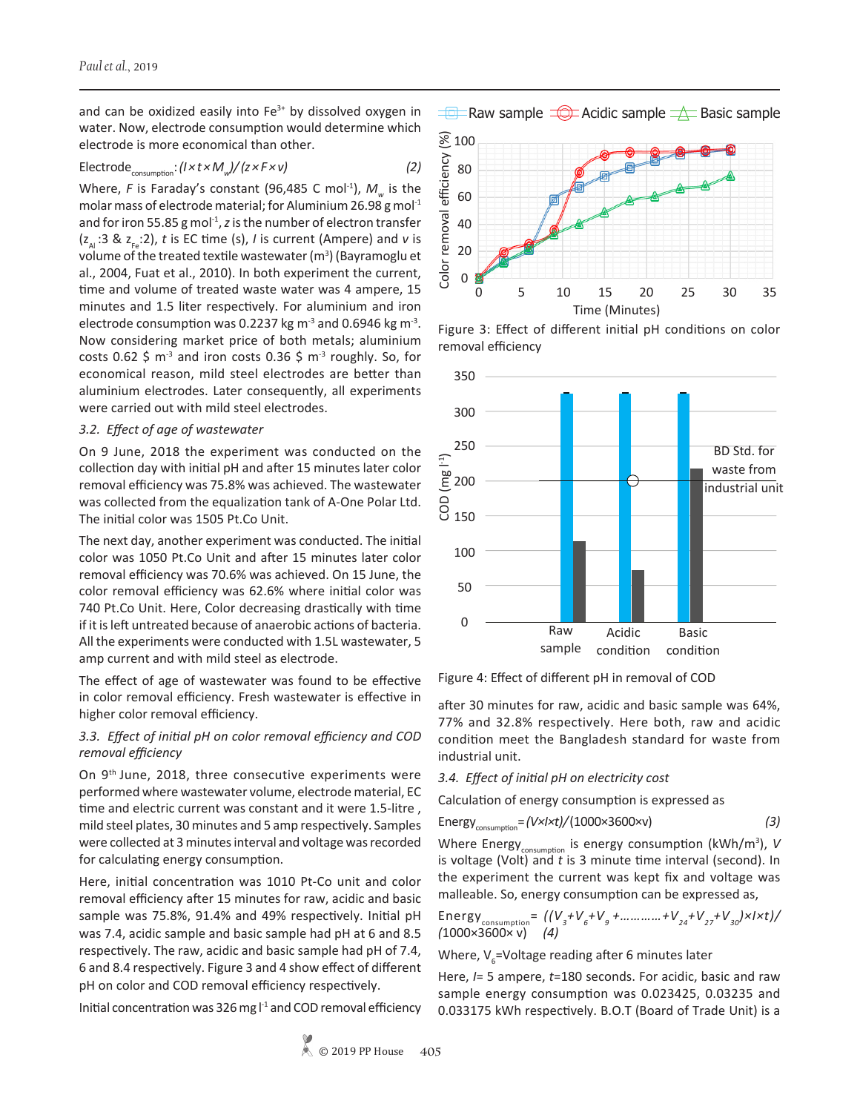and can be oxidized easily into  $Fe<sup>3+</sup>$  by dissolved oxygen in water. Now, electrode consumption would determine which electrode is more economical than other.

# $Electrode_{\text{consumption}}$ :  $(l \times t \times M_{w})/(z \times F \times v)$  (2)

Where, *F* is Faraday's constant (96,485 C mol<sup>-1</sup>),  $M_w$  is the molar mass of electrode material; for Aluminium 26.98 g mol<sup>-1</sup> and for iron 55.85 g mol<sup>-1</sup>, *z* is the number of electron transfer  $(z_{\text{A}} : 3 \& z_{\text{A}} : 2)$ , *t* is EC time (s), *I* is current (Ampere) and *v* is volume of the treated textile wastewater  $(m^3)$  (Bayramoglu et al., 2004, Fuat et al., 2010). In both experiment the current, time and volume of treated waste water was 4 ampere, 15 minutes and 1.5 liter respectively. For aluminium and iron electrode consumption was 0.2237 kg  $m<sup>-3</sup>$  and 0.6946 kg  $m<sup>-3</sup>$ . Now considering market price of both metals; aluminium costs 0.62 \$  $m<sup>-3</sup>$  and iron costs 0.36 \$  $m<sup>-3</sup>$  roughly. So, for economical reason, mild steel electrodes are better than aluminium electrodes. Later consequently, all experiments were carried out with mild steel electrodes.

### *3.2. Effect of age of wastewater*

On 9 June, 2018 the experiment was conducted on the collection day with initial pH and after 15 minutes later color removal efficiency was 75.8% was achieved. The wastewater was collected from the equalization tank of A-One Polar Ltd. The initial color was 1505 Pt.Co Unit.

The next day, another experiment was conducted. The initial color was 1050 Pt.Co Unit and after 15 minutes later color removal efficiency was 70.6% was achieved. On 15 June, the color removal efficiency was 62.6% where initial color was 740 Pt.Co Unit. Here, Color decreasing drastically with time if it is left untreated because of anaerobic actions of bacteria. All the experiments were conducted with 1.5L wastewater, 5 amp current and with mild steel as electrode.

The effect of age of wastewater was found to be effective in color removal efficiency. Fresh wastewater is effective in higher color removal efficiency.

## *3.3. Effect of initial pH on color removal efficiency and COD removal efficiency*

On 9th June, 2018, three consecutive experiments were performed where wastewater volume, electrode material, EC time and electric current was constant and it were 1.5-litre , mild steel plates, 30 minutes and 5 amp respectively. Samples were collected at 3 minutes interval and voltage was recorded for calculating energy consumption.

Here, initial concentration was 1010 Pt-Co unit and color removal efficiency after 15 minutes for raw, acidic and basic sample was 75.8%, 91.4% and 49% respectively. Initial pH was 7.4, acidic sample and basic sample had pH at 6 and 8.5 respectively. The raw, acidic and basic sample had pH of 7.4, 6 and 8.4 respectively. Figure 3 and 4 show effect of different pH on color and COD removal efficiency respectively.

Initial concentration was 326 mg  $I<sup>1</sup>$  and COD removal efficiency







Figure 4: Effect of different pH in removal of COD

after 30 minutes for raw, acidic and basic sample was 64%, 77% and 32.8% respectively. Here both, raw and acidic condition meet the Bangladesh standard for waste from industrial unit.

*3.4. Effect of initial pH on electricity cost* 

Calculation of energy consumption is expressed as

Energy<sub>consumption</sub> = 
$$
(V \times I \times t) / (1000 \times 3600 \times v)
$$
 (3)

Where Energy<sub>consumption</sub> is energy consumption (kWh/m<sup>3</sup>), *V* is voltage (Volt) and *t* is 3 minute time interval (second). In the experiment the current was kept fix and voltage was malleable. So, energy consumption can be expressed as,

Energy<sub>consumption</sub> = 
$$
((V_3 + V_6 + V_9 + \dots + V_{24} + V_{27} + V_{30}) \times 1 \times t) / (1000 \times 3600 \times v)
$$
 (4)

Where,  $V_{6}$ =Voltage reading after 6 minutes later

Here, *I*= 5 ampere, *t*=180 seconds. For acidic, basic and raw sample energy consumption was 0.023425, 0.03235 and 0.033175 kWh respectively. B.O.T (Board of Trade Unit) is a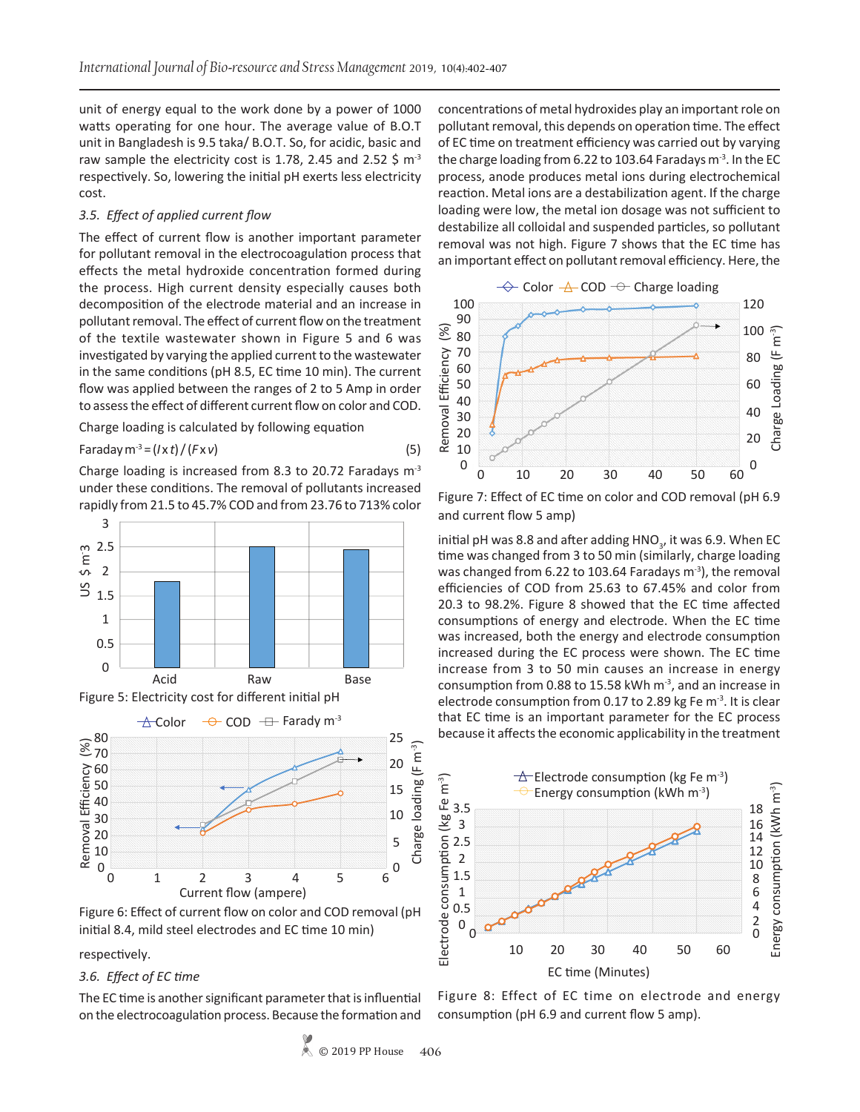unit of energy equal to the work done by a power of 1000 watts operating for one hour. The average value of B.O.T unit in Bangladesh is 9.5 taka/ B.O.T. So, for acidic, basic and raw sample the electricity cost is 1.78, 2.45 and 2.52 \$  $m<sup>-3</sup>$ respectively. So, lowering the initial pH exerts less electricity cost.

### *3.5. Effect of applied current flow*

The effect of current flow is another important parameter for pollutant removal in the electrocoagulation process that effects the metal hydroxide concentration formed during the process. High current density especially causes both decomposition of the electrode material and an increase in pollutant removal. The effect of current flow on the treatment of the textile wastewater shown in Figure 5 and 6 was investigated by varying the applied current to the wastewater in the same conditions (pH 8.5, EC time 10 min). The current flow was applied between the ranges of 2 to 5 Amp in order to assess the effect of different current flow on color and COD.

Charge loading is calculated by following equation

Faraday m<sup>-3</sup> = 
$$
(I \times t) / (F \times v)
$$
 (5)

Charge loading is increased from 8.3 to 20.72 Faradays  $m<sup>3</sup>$ under these conditions. The removal of pollutants increased rapidly from 21.5 to 45.7% COD and from 23.76 to 713% color





Figure 6: Effect of current flow on color and COD removal (pH initial 8.4, mild steel electrodes and EC time 10 min)

respectively.

### *3.6. Effect of EC time*

The EC time is another significant parameter that is influential on the electrocoagulation process. Because the formation and concentrations of metal hydroxides play an important role on pollutant removal, this depends on operation time. The effect of EC time on treatment efficiency was carried out by varying the charge loading from 6.22 to 103.64 Faradays  $m<sup>-3</sup>$ . In the EC process, anode produces metal ions during electrochemical reaction. Metal ions are a destabilization agent. If the charge loading were low, the metal ion dosage was not sufficient to destabilize all colloidal and suspended particles, so pollutant removal was not high. Figure 7 shows that the EC time has an important effect on pollutant removal efficiency. Here, the



Figure 7: Effect of EC time on color and COD removal (pH 6.9 and current flow 5 amp)

initial pH was 8.8 and after adding  $\mathsf{HNO}_{_3}$ , it was 6.9. When EC time was changed from 3 to 50 min (similarly, charge loading was changed from 6.22 to 103.64 Faradays  $m<sup>3</sup>$ ), the removal efficiencies of COD from 25.63 to 67.45% and color from 20.3 to 98.2%. Figure 8 showed that the EC time affected consumptions of energy and electrode. When the EC time was increased, both the energy and electrode consumption increased during the EC process were shown. The EC time increase from 3 to 50 min causes an increase in energy consumption from 0.88 to 15.58 kWh  $m<sup>-3</sup>$ , and an increase in electrode consumption from 0.17 to 2.89 kg Fe m-3. It is clear that EC time is an important parameter for the EC process because it affects the economic applicability in the treatment



Figure 8: Effect of EC time on electrode and energy consumption (pH 6.9 and current flow 5 amp).